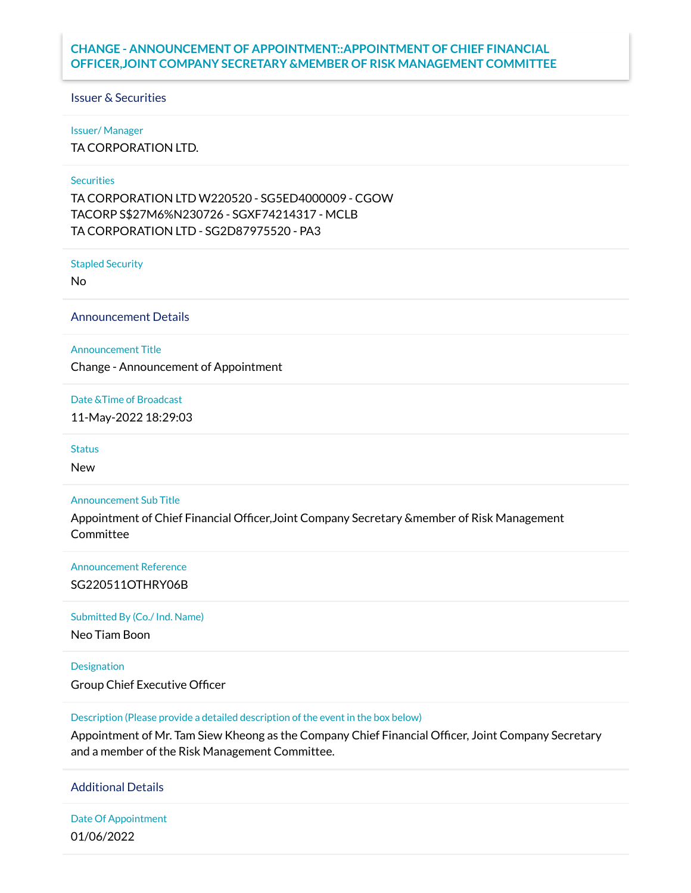# **CHANGE - ANNOUNCEMENT OF APPOINTMENT::APPOINTMENT OF CHIEF FINANCIAL OFFICER,JOINT COMPANY SECRETARY &MEMBER OF RISK MANAGEMENT COMMITTEE**

### Issuer & Securities

#### Issuer/ Manager

TA CORPORATION LTD.

## **Securities**

TA CORPORATION LTD W220520 - SG5ED4000009 - CGOW TACORP S\$27M6%N230726 - SGXF74214317 - MCLB TA CORPORATION LTD - SG2D87975520 - PA3

Stapled Security

No

Announcement Details

### Announcement Title

Change - Announcement of Appointment

Date &Time of Broadcast

11-May-2022 18:29:03

#### **Status**

New

### Announcement Sub Title

Appointment of Chief Financial Officer,Joint Company Secretary &member of Risk Management Committee

## Announcement Reference

## SG220511OTHRY06B

### Submitted By (Co./ Ind. Name)

Neo Tiam Boon

#### Designation

Group Chief Executive Officer

### Description (Please provide a detailed description of the event in the box below)

Appointment of Mr. Tam Siew Kheong as the Company Chief Financial Officer, Joint Company Secretary and a member of the Risk Management Committee.

## Additional Details

Date Of Appointment 01/06/2022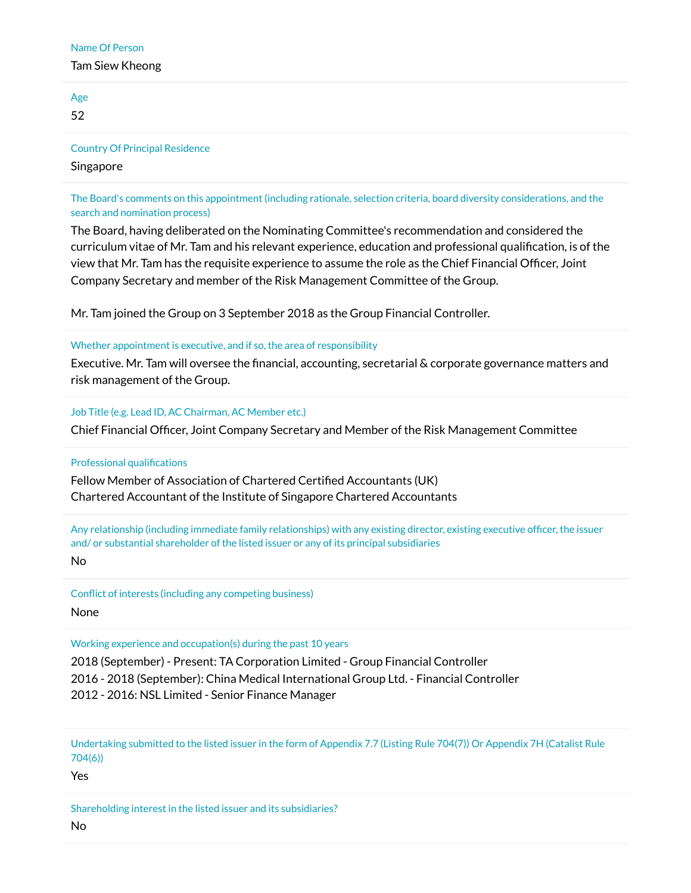### Name Of Person

## Tam Siew Kheong

| Age<br>52                                          |  |  |  |
|----------------------------------------------------|--|--|--|
| <b>Country Of Principal Residence</b><br>Singapore |  |  |  |
|                                                    |  |  |  |

The Board's comments on this appointment (including rationale, selection criteria, board diversity considerations, and the search and nomination process)

The Board, having deliberated on the Nominating Committee's recommendation and considered the curriculum vitae of Mr. Tam and his relevant experience, education and professional qualification, is of the view that Mr. Tam has the requisite experience to assume the role as the Chief Financial Officer, Joint Company Secretary and member of the Risk Management Committee of the Group.

Mr. Tam joined the Group on 3 September 2018 as the Group Financial Controller.

## Whether appointment is executive, and if so, the area of responsibility

Executive. Mr. Tam will oversee the financial, accounting, secretarial & corporate governance matters and risk management of the Group.

## Job Title (e.g. Lead ID, AC Chairman, AC Member etc.)

Chief Financial Officer, Joint Company Secretary and Member of the Risk Management Committee

## Professional qualifications

Fellow Member of Association of Chartered Certified Accountants (UK) Chartered Accountant of the Institute of Singapore Chartered Accountants

Any relationship (including immediate family relationships) with any existing director, existing executive officer, the issuer and/ or substantial shareholder of the listed issuer or any of its principal subsidiaries

No

Conflict of interests (including any competing business) None

## Working experience and occupation(s) during the past 10 years

2018 (September) - Present: TA Corporation Limited - Group Financial Controller 2016 - 2018 (September): China Medical International Group Ltd. - Financial Controller 2012 - 2016: NSL Limited - Senior Finance Manager

Undertaking submitted to the listed issuer in the form of Appendix 7.7 (Listing Rule 704(7)) Or Appendix 7H (Catalist Rule 704(6))

Yes

Shareholding interest in the listed issuer and its subsidiaries?

No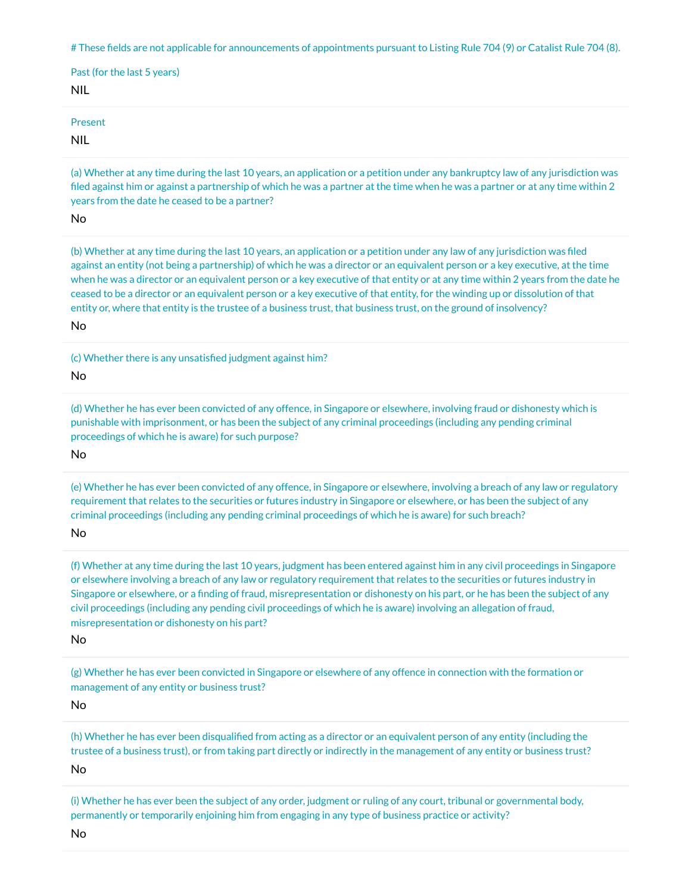# These fields are not applicable for announcements of appointments pursuant to Listing Rule 704 (9) or Catalist Rule 704 (8).

| Past (for the last 5 years)<br><b>NIL</b> |  |
|-------------------------------------------|--|
| Present<br><b>NIL</b>                     |  |

(a) Whether at any time during the last 10 years, an application or a petition under any bankruptcy law of any jurisdiction was filed against him or against a partnership of which he was a partner at the time when he was a partner or at any time within 2 years from the date he ceased to be a partner?

No

(b) Whether at any time during the last 10 years, an application or a petition under any law of any jurisdiction was filed against an entity (not being a partnership) of which he was a director or an equivalent person or a key executive, at the time when he was a director or an equivalent person or a key executive of that entity or at any time within 2 years from the date he ceased to be a director or an equivalent person or a key executive of that entity, for the winding up or dissolution of that entity or, where that entity is the trustee of a business trust, that business trust, on the ground of insolvency?

No

(c) Whether there is any unsatisfied judgment against him?

No

(d) Whether he has ever been convicted of any offence, in Singapore or elsewhere, involving fraud or dishonesty which is punishable with imprisonment, or has been the subject of any criminal proceedings (including any pending criminal proceedings of which he is aware) for such purpose?

No

(e) Whether he has ever been convicted of any offence, in Singapore or elsewhere, involving a breach of any law or regulatory requirement that relates to the securities or futures industry in Singapore or elsewhere, or has been the subject of any criminal proceedings (including any pending criminal proceedings of which he is aware) for such breach?

No

(f) Whether at any time during the last 10 years, judgment has been entered against him in any civil proceedings in Singapore or elsewhere involving a breach of any law or regulatory requirement that relates to the securities or futures industry in Singapore or elsewhere, or a finding of fraud, misrepresentation or dishonesty on his part, or he has been the subject of any civil proceedings (including any pending civil proceedings of which he is aware) involving an allegation of fraud, misrepresentation or dishonesty on his part?

No

(g) Whether he has ever been convicted in Singapore or elsewhere of any offence in connection with the formation or management of any entity or business trust?

No

(h) Whether he has ever been disqualified from acting as a director or an equivalent person of any entity (including the trustee of a business trust), or from taking part directly or indirectly in the management of any entity or business trust? No

(i) Whether he has ever been the subject of any order, judgment or ruling of any court, tribunal or governmental body, permanently or temporarily enjoining him from engaging in any type of business practice or activity?

No